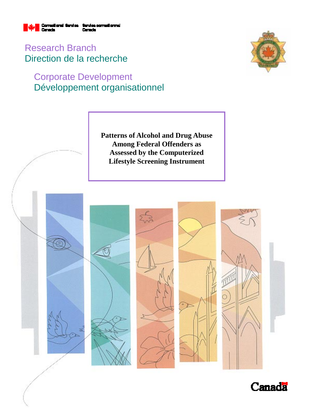

Research Branch Direction de la recherche

# Corporate Development Développement organisationnel



**Patterns of Alcohol and Drug Abuse Among Federal Offenders as Assessed by the Computerized Lifestyle Screening Instrument** 



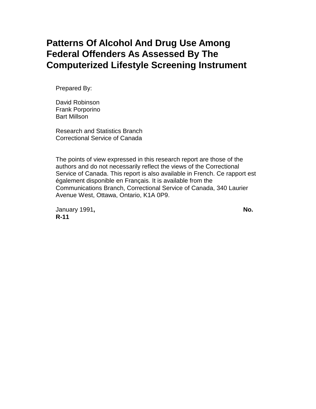# **Patterns Of Alcohol And Drug Use Among Federal Offenders As Assessed By The Computerized Lifestyle Screening Instrument**

Prepared By:

David Robinson Frank Porporino Bart Millson

Research and Statistics Branch Correctional Service of Canada

The points of view expressed in this research report are those of the authors and do not necessarily reflect the views of the Correctional Service of Canada. This report is also available in French. Ce rapport est également disponible en Français. It is available from the Communications Branch, Correctional Service of Canada, 340 Laurier Avenue West, Ottawa, Ontario, K1A 0P9.

January 1991, No. **R-11**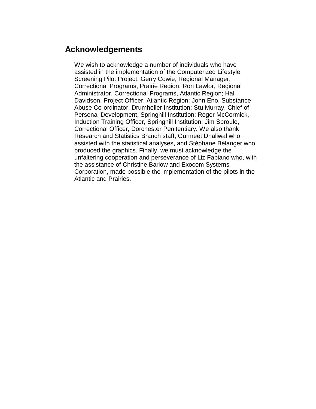# **Acknowledgements**

We wish to acknowledge a number of individuals who have assisted in the implementation of the Computerized Lifestyle Screening Pilot Project: Gerry Cowie, Regional Manager, Correctional Programs, Prairie Region; Ron Lawlor, Regional Administrator, Correctional Programs, Atlantic Region; Hal Davidson, Project Officer, Atlantic Region; John Eno, Substance Abuse Co-ordinator, Drumheller Institution; Stu Murray, Chief of Personal Development, Springhill Institution; Roger McCormick, Induction Training Officer, Springhill Institution; Jim Sproule, Correctional Officer, Dorchester Penitentiary. We also thank Research and Statistics Branch staff, Gurmeet Dhaliwal who assisted with the statistical analyses, and Stéphane Bélanger who produced the graphics. Finally, we must acknowledge the unfaltering cooperation and perseverance of Liz Fabiano who, with the assistance of Christine Barlow and Exocom Systems Corporation, made possible the implementation of the pilots in the Atlantic and Prairies.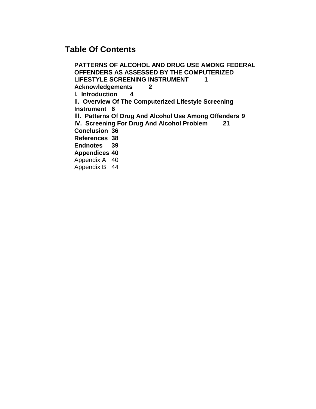# **Table Of Contents**

**PATTERNS OF ALCOHOL AND DRUG USE AMONG FEDERAL OFFENDERS AS ASSESSED BY THE COMPUTERIZED** LIFESTYLE SCREENING INSTRUMENT 1 **Acknowledgements 2 l. Introduction 4 ll. Overview Of The Computerized Lifestyle Screening Instrument 6 lll. Patterns Of Drug And Alcohol Use Among Offenders 9 IV. Screening For Drug And Alcohol Problem 21 Conclusion 36 References 38 Endnotes 39 Appendices 40** Appendix A 40 Appendix B 44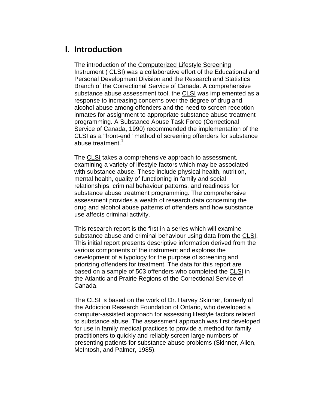# **l. Introduction**

The introduction of the Computerized Lifestyle Screening Instrument ( CLSI) was a collaborative effort of the Educational and Personal Development Division and the Research and Statistics Branch of the Correctional Service of Canada. A comprehensive substance abuse assessment tool, the CLSI was implemented as a response to increasing concerns over the degree of drug and alcohol abuse among offenders and the need to screen reception inmates for assignment to appropriate substance abuse treatment programming. A Substance Abuse Task Force (Correctional Service of Canada, 1990) recommended the implementation of the CLSI as a "front-end" method of screening offenders for substance abuse treatment.<sup>1</sup>

The CLSI takes a comprehensive approach to assessment, examining a variety of lifestyle factors which may be associated with substance abuse. These include physical health, nutrition, mental health, quality of functioning in family and social relationships, criminal behaviour patterns, and readiness for substance abuse treatment programming. The comprehensive assessment provides a wealth of research data concerning the drug and alcohol abuse patterns of offenders and how substance use affects criminal activity.

This research report is the first in a series which will examine substance abuse and criminal behaviour using data from the CLSI. This initial report presents descriptive information derived from the various components of the instrument and explores the development of a typology for the purpose of screening and priorizing offenders for treatment. The data for this report are based on a sample of 503 offenders who completed the CLSI in the Atlantic and Prairie Regions of the Correctional Service of Canada.

The CLSI is based on the work of Dr. Harvey Skinner, formerly of the Addiction Research Foundation of Ontario, who developed a computer-assisted approach for assessing lifestyle factors related to substance abuse. The assessment approach was first developed for use in family medical practices to provide a method for family practitioners to quickly and reliably screen large numbers of presenting patients for substance abuse problems (Skinner, Allen, McIntosh, and Palmer, 1985).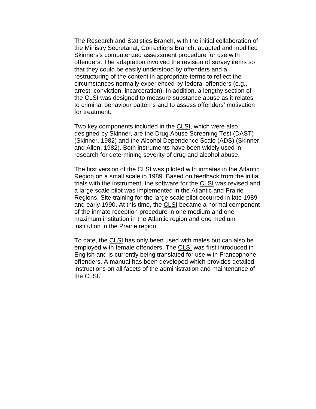The Research and Statistics Branch, with the initial collaboration of the Ministry Secretariat, Corrections Branch, adapted and modified Skinners's computerized assessment procedure for use with offenders. The adaptation involved the revision of survey items so that they could be easily understood by offenders and a restructuring of the content in appropriate terms to reflect the circumstances normally experienced by federal offenders (e.g., arrest, conviction, incarceration). In addition, a lengthy section of the CLSI was designed to measure substance abuse as it relates to criminal behaviour patterns and to assess offenders' motivation for treatment.

Two key components included in the CLSI, which were also designed by Skinner, are the Drug Abuse Screening Test (DAST) (Skinner, 1982) and the Alcohol Dependence Scale (ADS) (Skinner and Allen, 1982). Both instruments have been widely used in research for determining severity of drug and alcohol abuse.

The first version of the CLSI was piloted with inmates in the Atlantic Region on a small scale in 1989. Based on feedback from the initial trials with the instrument, the software for the CLSI was revised and a large scale pilot was implemented in the Atlantic and Prairie Regions. Site training for the large scale pilot occurred in late 1989 and early 1990. At this time, the CLSI became a normal component of the inmate reception procedure in one medium and one maximum institution in the Atlantic region and one medium institution in the Prairie region.

To date, the CLSI has only been used with males but can also be employed with female offenders. The CLSI was first introduced in English and is currently being translated for use with Francophone offenders. A manual has been developed which provides detailed instructions on all facets of the administration and maintenance of the CLSI.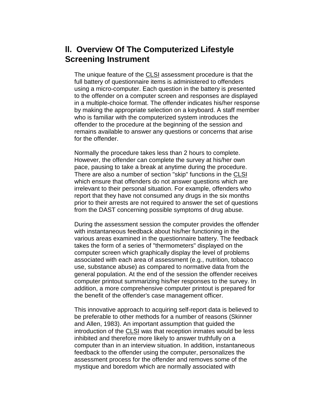# **ll. Overview Of The Computerized Lifestyle Screening Instrument**

The unique feature of the CLSI assessment procedure is that the full battery of questionnaire items is administered to offenders using a micro-computer. Each question in the battery is presented to the offender on a computer screen and responses are displayed in a multiple-choice format. The offender indicates his/her response by making the appropriate selection on a keyboard. A staff member who is familiar with the computerized system introduces the offender to the procedure at the beginning of the session and remains available to answer any questions or concerns that arise for the offender.

Normally the procedure takes less than 2 hours to complete. However, the offender can complete the survey at his/her own pace, pausing to take a break at anytime during the procedure. There are also a number of section "skip" functions in the CLSI which ensure that offenders do not answer questions which are irrelevant to their personal situation. For example, offenders who report that they have not consumed any drugs in the six months prior to their arrests are not required to answer the set of questions from the DAST concerning possible symptoms of drug abuse.

During the assessment session the computer provides the offender with instantaneous feedback about his/her functioning in the various areas examined in the questionnaire battery. The feedback takes the form of a series of "thermometers" displayed on the computer screen which graphically display the level of problems associated with each area of assessment (e.g., nutrition, tobacco use, substance abuse) as compared to normative data from the general population. At the end of the session the offender receives computer printout summarizing his/her responses to the survey. In addition, a more comprehensive computer printout is prepared for the benefit of the offender's case management officer.

This innovative approach to acquiring self-report data is believed to be preferable to other methods for a number of reasons (Skinner and Allen, 1983). An important assumption that guided the introduction of the CLSI was that reception inmates would be less inhibited and therefore more likely to answer truthfully on a computer than in an interview situation. In addition, instantaneous feedback to the offender using the computer, personalizes the assessment process for the offender and removes some of the mystique and boredom which are normally associated with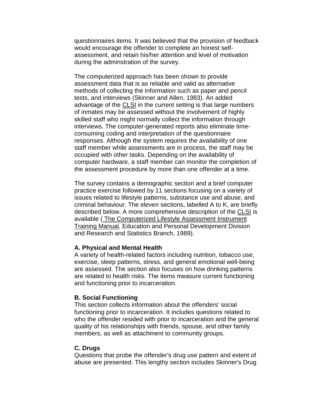questionnaires items. It was believed that the provision of feedback would encourage the offender to complete an honest selfassessment, and retain his/her attention and level of motivation during the adminstration of the survey.

The computerized approach has been shown to provide assessment data that is as reliable and valid as alternative methods of collecting the information such as paper and pencil tests, and interviews (Skinner and Allen, 1983). An added advantage of the CLSI in the current setting is that large numbers of inmates may be assessed without the involvement of highly skilled staff who might normally collect the information through interviews. The computer-generated reports also eliminate timeconsuming coding and interpretation of the questionnaire responses. Although the system requires the availability of one staff member while assessments are in process, the staff may be occupied with other tasks. Depending on the availability of computer hardware, a staff member can monitor the completion of the assessment procedure by more than one offender at a time.

The survey contains a demographic section and a brief computer practice exercise followed by 11 sections focusing on a variety of issues related to lifestyle patterns, substance use and abuse, and criminal behaviour. The eleven sections, labelled A to K, are briefly described below. A more comprehensive description of the CLSI is available ( The Computerized Lifestyle Assessment Instrument Training Manual, Education and Personal Development Division and Research and Statistics Branch, 1989).

#### **A. Physical and Mental Health**

A variety of health-related factors including nutrition, tobacco use, exercise, sleep patterns, stress, and general emotional well-being are assessed. The section also focuses on how drinking patterns are related to health risks. The items measure current functioning and functioning prior to incarceration.

#### **B. Social Functioning**

This section collects information about the offenders' social functioning prior to incarceration. It includes questions related to who the offender resided with prior to incarceration and the general quality of his relationships with friends, spouse, and other family members, as well as attachment to community groups.

#### **C. Drugs**

Questions that probe the offender's drug use pattern and extent of abuse are presented. This lengthy section includes Skinner's Drug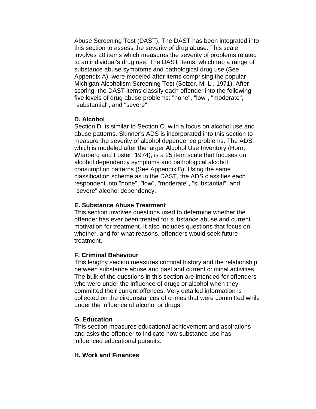Abuse Screening Test (DAST). The DAST has been integrated into this section to assess the severity of drug abuse. This scale involves 20 items which measures the severity of problems related to an individual's drug use. The DAST items, which tap a range of substance abuse symptoms and pathological drug use (See Appendix A), were modeled after items comprising the popular Michigan Alcoholism Screening Test (Selzer, M. L., 1971). After scoring, the DAST items classify each offender into the following five levels of drug abuse problems: "none", "low", "moderate", "substantial", and "severe".

### **D. Alcohol**

Section D. is similar to Section C. with a focus on alcohol use and abuse patterns. Skinner's ADS is incorporated into this section to measure the severity of alcohol dependence problems. The ADS, which is modeled after the larger Alcohol Use Inventory (Horn, Wanberg and Foster, 1974), is a 25 item scale that focuses on alcohol dependency symptoms and pathological alcohol consumption patterns (See Appendix B). Using the same classification scheme as in the DAST, the ADS classifies each respondent into "none", "low", "moderate", "substantial", and "severe" alcohol dependency.

### **E. Substance Abuse Treatment**

This section involves questions used to determine whether the offender has ever been treated for substance abuse and current motivation for treatment. It also includes questions that focus on whether, and for what reasons, offenders would seek future treatment.

# **F. Criminal Behaviour**

This lengthy section measures criminal history and the relationship between substance abuse and past and current criminal activities. The bulk of the questions in this section are intended for offenders who were under the influence of drugs or alcohol when they committed their current offences. Very detailed information is collected on the circumstances of crimes that were committed while under the influence of alcohol or drugs.

### **G. Education**

This section measures educational achievement and aspirations and asks the offender to indicate how substance use has influenced educational pursuits.

### **H. Work and Finances**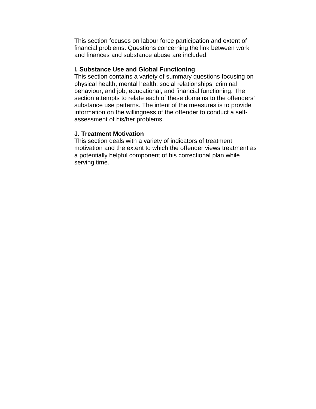This section focuses on labour force participation and extent of financial problems. Questions concerning the link between work and finances and substance abuse are included.

### **I. Substance Use and Global Functioning**

This section contains a variety of summary questions focusing on physical health, mental health, social relationships, criminal behaviour, and job, educational, and financial functioning. The section attempts to relate each of these domains to the offenders' substance use patterns. The intent of the measures is to provide information on the willingness of the offender to conduct a selfassessment of his/her problems.

#### **J. Treatment Motivation**

This section deals with a variety of indicators of treatment motivation and the extent to which the offender views treatment as a potentially helpful component of his correctional plan while serving time.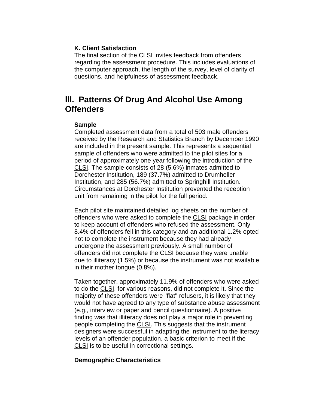### **K. Client Satisfaction**

The final section of the CLSI invites feedback from offenders regarding the assessment procedure. This includes evaluations of the computer approach, the length of the survey, level of clarity of questions, and helpfulness of assessment feedback.

# **lll. Patterns Of Drug And Alcohol Use Among Offenders**

#### **Sample**

Completed assessment data from a total of 503 male offenders received by the Research and Statistics Branch by December 1990 are included in the present sample. This represents a sequential sample of offenders who were admitted to the pilot sites for a period of approximately one year following the introduction of the CLSI. The sample consists of 28 (5.6%) inmates admitted to Dorchester Institution, 189 (37.7%) admitted to Drumheller Institution, and 285 (56.7%) admitted to Springhill Institution. Circumstances at Dorchester Institution prevented the reception unit from remaining in the pilot for the full period.

Each pilot site maintained detailed log sheets on the number of offenders who were asked to complete the CLSI package in order to keep account of offenders who refused the assessment. Only 8.4% of offenders fell in this category and an additional 1.2% opted not to complete the instrument because they had already undergone the assessment previously. A small number of offenders did not complete the CLSI because they were unable due to illiteracy (1.5%) or because the instrument was not available in their mother tongue (0.8%).

Taken together, approximately 11.9% of offenders who were asked to do the CLSI, for various reasons, did not complete it. Since the majority of these offenders were "flat" refusers, it is likely that they would not have agreed to any type of substance abuse assessment (e.g., interview or paper and pencil questionnaire). A positive finding was that illiteracy does not play a major role in preventing people completing the CLSI. This suggests that the instrument designers were successful in adapting the instrument to the literacy levels of an offender population, a basic criterion to meet if the CLSI is to be useful in correctional settings.

### **Demographic Characteristics**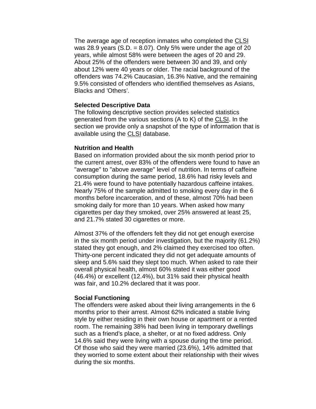The average age of reception inmates who completed the CLSI was 28.9 years  $(S.D. = 8.07)$ . Only 5% were under the age of 20 years, while almost 58% were between the ages of 20 and 29. About 25% of the offenders were between 30 and 39, and only about 12% were 40 years or older. The racial background of the offenders was 74.2% Caucasian, 16.3% Native, and the remaining 9.5% consisted of offenders who identified themselves as Asians, Blacks and 'Others'.

### **Selected Descriptive Data**

The following descriptive section provides selected statistics generated from the various sections (A to K) of the CLSI. In the section we provide only a snapshot of the type of information that is available using the CLSI database.

### **Nutrition and Health**

Based on information provided about the six month period prior to the current arrest, over 83% of the offenders were found to have an "average" to "above average" level of nutrition. In terms of caffeine consumption during the same period, 18.6% had risky levels and 21.4% were found to have potentially hazardous caffeine intakes. Nearly 75% of the sample admitted to smoking every day in the 6 months before incarceration, and of these, almost 70% had been smoking daily for more than 10 years. When asked how many cigarettes per day they smoked, over 25% answered at least 25, and 21.7% stated 30 cigarettes or more.

Almost 37% of the offenders felt they did not get enough exercise in the six month period under investigation, but the majority (61.2%) stated they got enough, and 2% claimed they exercised too often. Thirty-one percent indicated they did not get adequate amounts of sleep and 5.6% said they slept too much. When asked to rate their overall physical health, almost 60% stated it was either good (46.4%) or excellent (12.4%), but 31% said their physical health was fair, and 10.2% declared that it was poor.

#### **Social Functioning**

The offenders were asked about their living arrangements in the 6 months prior to their arrest. Almost 62% indicated a stable living style by either residing in their own house or apartment or a rented room. The remaining 38% had been living in temporary dwellings such as a friend's place, a shelter, or at no fixed address. Only 14.6% said they were living with a spouse during the time period. Of those who said they were married (23.6%), 14% admitted that they worried to some extent about their relationship with their wives during the six months.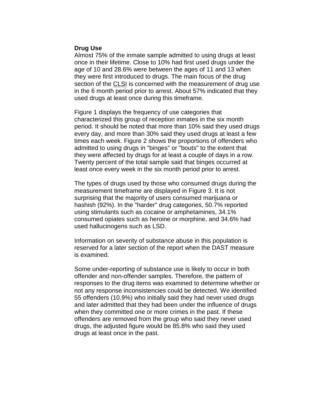#### **Drug Use**

Almost 75% of the inmate sample admitted to using drugs at least once in their lifetime. Close to 10% had first used drugs under the age of 10 and 28.6% were between the ages of 11 and 13 when they were first introduced to drugs. The main focus of the drug section of the CLSI is concerned with the measurement of drug use in the 6 month period prior to arrest. About 57% indicated that they used drugs at least once during this timeframe.

Figure 1 displays the frequency of use categories that characterized this group of reception inmates in the six month period. It should be noted that more than 10% said they used drugs every day, and more than 30% said they used drugs at least a few times each week. Figure 2 shows the proportions of offenders who admitted to using drugs in "binges" or "bouts" to the extent that they were affected by drugs for at least a couple of days in a row. Twenty percent of the total sample said that binges occurred at least once every week in the six month period prior to arrest.

The types of drugs used by those who consumed drugs during the measurement timeframe are displayed in Figure 3. It is not surprising that the majority of users consumed marijuana or hashish (92%). In the "harder" drug categories, 50.7% reported using stimulants such as cocaine or amphetamines, 34.1% consumed opiates such as heroine or morphine, and 34.6% had used hallucinogens such as LSD.

Information on severity of substance abuse in this population is reserved for a later section of the report when the DAST measure is examined.

Some under-reporting of substance use is likely to occur in both offender and non-offender samples. Therefore, the pattern of responses to the drug items was examined to determine whether or not any response inconsistencies could be detected. We identified 55 offenders (10.9%) who initially said they had never used drugs and later admitted that they had been under the influence of drugs when they committed one or more crimes in the past. If these offenders are removed from the group who said they never used drugs, the adjusted figure would be 85.8% who said they used drugs at least once in the past.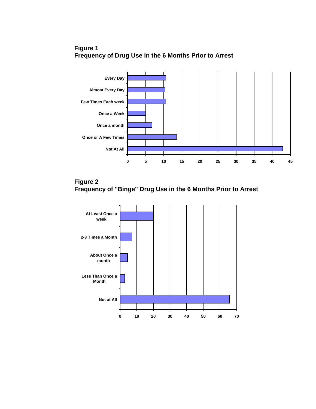



**Figure 2 Frequency of "Binge" Drug Use in the 6 Months Prior to Arrest**

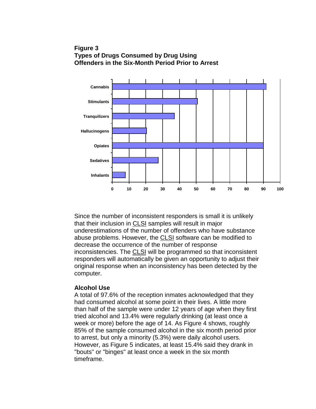## **Figure 3 Types of Drugs Consumed by Drug Using Offenders in the Six-Month Period Prior to Arrest**



Since the number of inconsistent responders is small it is unlikely that their inclusion in CLSI samples will result in major underestimations of the number of offenders who have substance abuse problems. However, the CLSI software can be modified to decrease the occurrence of the number of response inconsistencies. The CLSI will be programmed so that inconsistent responders will automatically be given an opportunity to adjust their original response when an inconsistency has been detected by the computer.

#### **Alcohol Use**

A total of 97.6% of the reception inmates acknowledged that they had consumed alcohol at some point in their lives. A little more than half of the sample were under 12 years of age when they first tried alcohol and 13.4% were regularly drinking (at least once a week or more) before the age of 14. As Figure 4 shows, roughly 85% of the sample consumed alcohol in the six month period prior to arrest, but only a minority (5.3%) were daily alcohol users. However, as Figure 5 indicates, at least 15.4% said they drank in "bouts" or "binges" at least once a week in the six month timeframe.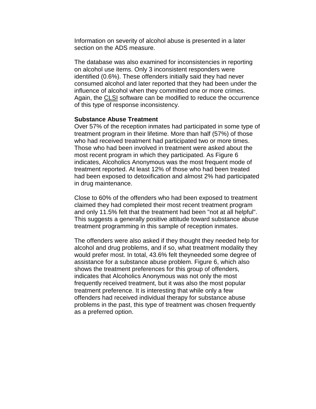Information on severity of alcohol abuse is presented in a later section on the ADS measure.

The database was also examined for inconsistencies in reporting on alcohol use items. Only 3 inconsistent responders were identified (0.6%). These offenders initially said they had never consumed alcohol and later reported that they had been under the influence of alcohol when they committed one or more crimes. Again, the CLSI software can be modified to reduce the occurrence of this type of response inconsistency.

#### **Substance Abuse Treatment**

Over 57% of the reception inmates had participated in some type of treatment program in their lifetime. More than half (57%) of those who had received treatment had participated two or more times. Those who had been involved in treatment were asked about the most recent program in which they participated. As Figure 6 indicates, Alcoholics Anonymous was the most frequent mode of treatment reported. At least 12% of those who had been treated had been exposed to detoxification and almost 2% had participated in drug maintenance.

Close to 60% of the offenders who had been exposed to treatment claimed they had completed their most recent treatment program and only 11.5% felt that the treatment had been "not at all helpful". This suggests a generally positive attitude toward substance abuse treatment programming in this sample of reception inmates.

The offenders were also asked if they thought they needed help for alcohol and drug problems, and if so, what treatment modality they would prefer most. In total, 43.6% felt theyneeded some degree of assistance for a substance abuse problem. Figure 6, which also shows the treatment preferences for this group of offenders, indicates that Alcoholics Anonymous was not only the most frequently received treatment, but it was also the most popular treatment preference. It is interesting that while only a few offenders had received individual therapy for substance abuse problems in the past, this type of treatment was chosen frequently as a preferred option.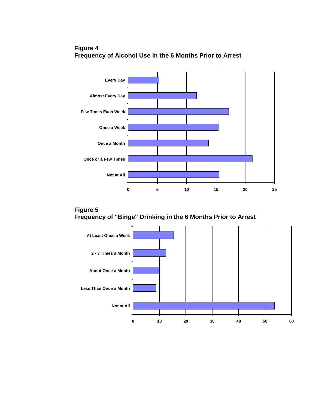





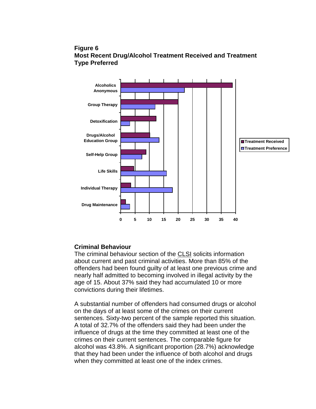## **Figure 6 Most Recent Drug/Alcohol Treatment Received and Treatment Type Preferred**



# **Criminal Behaviour**

The criminal behaviour section of the CLSI solicits information about current and past criminal activities. More than 85% of the offenders had been found guilty of at least one previous crime and nearly half admitted to becoming involved in illegal activity by the age of 15. About 37% said they had accumulated 10 or more convictions during their lifetimes.

A substantial number of offenders had consumed drugs or alcohol on the days of at least some of the crimes on their current sentences. Sixty-two percent of the sample reported this situation. A total of 32.7% of the offenders said they had been under the influence of drugs at the time they committed at least one of the crimes on their current sentences. The comparable figure for alcohol was 43.8%. A significant proportion (28.7%) acknowledge that they had been under the influence of both alcohol and drugs when they committed at least one of the index crimes.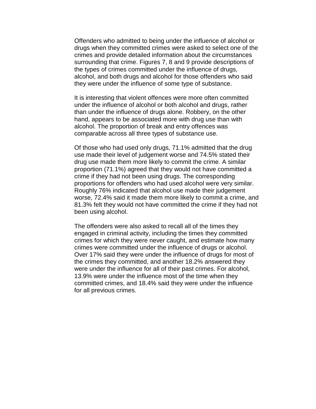Offenders who admitted to being under the influence of alcohol or drugs when they committed crimes were asked to select one of the crimes and provide detailed information about the circumstances surrounding that crime. Figures 7, 8 and 9 provide descriptions of the types of crimes committed under the influence of drugs, alcohol, and both drugs and alcohol for those offenders who said they were under the influence of some type of substance.

It is interesting that violent offences were more often committed under the influence of alcohol or both alcohol and drugs, rather than under the influence of drugs alone. Robbery, on the other hand, appears to be associated more with drug use than with alcohol. The proportion of break and entry offences was comparable across all three types of substance use.

Of those who had used only drugs, 71.1% admitted that the drug use made their level of judgement worse and 74.5% stated their drug use made them more likely to commit the crime. A similar proportion (71.1%) agreed that they would not have committed a crime if they had not been using drugs. The corresponding proportions for offenders who had used alcohol were very similar. Roughly 76% indicated that alcohol use made their judgement worse, 72.4% said it made them more likely to commit a crime, and 81.3% felt they would not have committed the crime if they had not been using alcohol.

The offenders were also asked to recall all of the times they engaged in criminal activity, including the times they committed crimes for which they were never caught, and estimate how many crimes were committed under the influence of drugs or alcohol. Over 17% said they were under the influence of drugs for most of the crimes they committed, and another 18.2% answered they were under the influence for all of their past crimes. For alcohol, 13.9% were under the influence most of the time when they committed crimes, and 18.4% said they were under the influence for all previous crimes.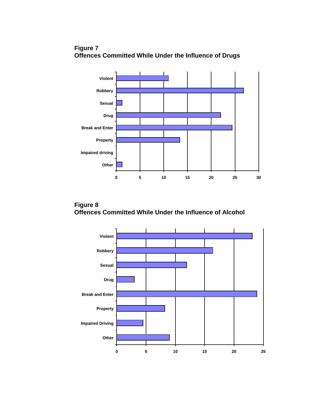

**0 5 10 15 20 25 30**

**Figure 7 Offences Committed While Under the Influence of Drugs**

**Figure 8 Offences Committed While Under the Influence of Alcohol**

**Other**

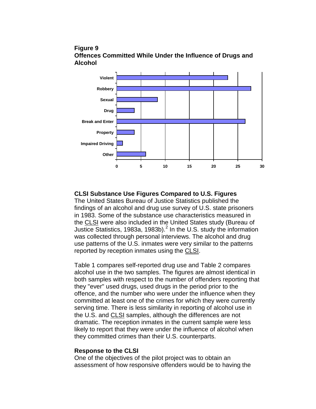



### **CLSI Substance Use Figures Compared to U.S. Figures**

The United States Bureau of Justice Statistics published the findings of an alcohol and drug use survey of U.S. state prisoners in 1983. Some of the substance use characteristics measured in the CLSI were also included in the United States study (Bureau of Justice Statistics, 1983a, 1983b).<sup>2</sup> In the U.S. study the information was collected through personal interviews. The alcohol and drug use patterns of the U.S. inmates were very similar to the patterns reported by reception inmates using the CLSI.

Table 1 compares self-reported drug use and Table 2 compares alcohol use in the two samples. The figures are almost identical in both samples with respect to the number of offenders reporting that they "ever" used drugs, used drugs in the period prior to the offence, and the number who were under the influence when they committed at least one of the crimes for which they were currently serving time. There is less similarity in reporting of alcohol use in the U.S. and CLSI samples, although the differences are not dramatic. The reception inmates in the current sample were less likely to report that they were under the influence of alcohol when they committed crimes than their U.S. counterparts.

#### **Response to the CLSI**

One of the objectives of the pilot project was to obtain an assessment of how responsive offenders would be to having the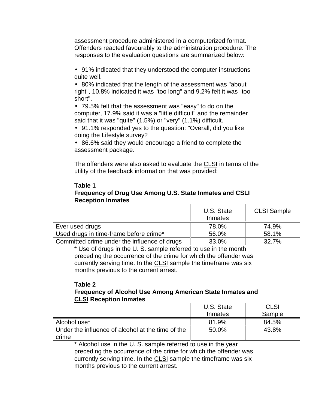assessment procedure administered in a computerized format. Offenders reacted favourably to the administration procedure. The responses to the evaluation questions are summarized below:

• 91% indicated that they understood the computer instructions quite well.

• 80% indicated that the length of the assessment was "about right", 10.8% indicated it was "too long" and 9.2% felt it was "too short".

• 79.5% felt that the assessment was "easy" to do on the computer, 17.9% said it was a "little difficult" and the remainder said that it was "quite" (1.5%) or "very" (1.1%) difficult.

• 91.1% responded yes to the question: "Overall, did you like doing the Lifestyle survey?

• 86.6% said they would encourage a friend to complete the assessment package.

The offenders were also asked to evaluate the CLSI in terms of the utility of the feedback information that was provided:

### **Table 1 Frequency of Drug Use Among U.S. State Inmates and CSLI Reception Inmates**

|                                              | U.S. State<br>Inmates | <b>CLSI Sample</b> |
|----------------------------------------------|-----------------------|--------------------|
| Ever used drugs                              | 78.0%                 | 74.9%              |
| Used drugs in time-frame before crime*       | 56.0%                 | 58.1%              |
| Committed crime under the influence of drugs | 33.0%                 | 32.7%              |

\* Use of drugs in the U. S. sample referred to use in the month preceding the occurrence of the crime for which the offender was currently serving time. In the CLSI sample the timeframe was six months previous to the current arrest.

#### **Table 2 Frequency of Alcohol Use Among American State Inmates and CLSI Reception Inmates**

|                                                   | U.S. State | <b>CLSI</b> |
|---------------------------------------------------|------------|-------------|
|                                                   | Inmates    | Sample      |
| Alcohol use*                                      | 81.9%      | 84.5%       |
| Under the influence of alcohol at the time of the | 50.0%      | 43.8%       |
| crime                                             |            |             |

\* Alcohol use in the U. S. sample referred to use in the year preceding the occurrence of the crime for which the offender was currently serving time. In the CLSI sample the timeframe was six months previous to the current arrest.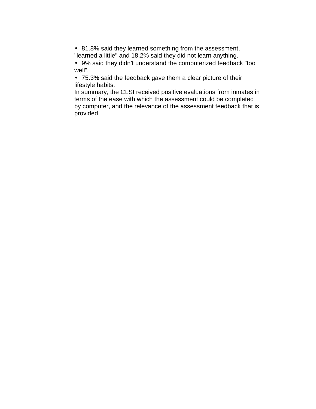• 81.8% said they learned something from the assessment, "learned a little" and 18.2% said they did not learn anything.

• 9% said they didn't understand the computerized feedback "too well".

• 75.3% said the feedback gave them a clear picture of their lifestyle habits.

In summary, the CLSI received positive evaluations from inmates in terms of the ease with which the assessment could be completed by computer, and the relevance of the assessment feedback that is provided.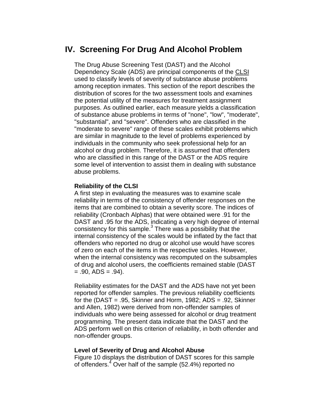# **IV. Screening For Drug And Alcohol Problem**

The Drug Abuse Screening Test (DAST) and the Alcohol Dependency Scale (ADS) are principal components of the CLSI used to classify levels of severity of substance abuse problems among reception inmates. This section of the report describes the distribution of scores for the two assessment tools and examines the potential utility of the measures for treatment assignment purposes. As outlined earlier, each measure yields a classification of substance abuse problems in terms of "none", "low", "moderate", "substantial", and "severe". Offenders who are classified in the "moderate to severe" range of these scales exhibit problems which are similar in magnitude to the level of problems experienced by individuals in the community who seek professional help for an alcohol or drug problem. Therefore, it is assumed that offenders who are classified in this range of the DAST or the ADS require some level of intervention to assist them in dealing with substance abuse problems.

#### **Reliability of the CLSI**

A first step in evaluating the measures was to examine scale reliability in terms of the consistency of offender responses on the items that are combined to obtain a severity score. The indices of reliability (Cronbach Alphas) that were obtained were .91 for the DAST and .95 for the ADS, indicating a very high degree of internal consistency for this sample.<sup>3</sup> There was a possibility that the internal consistency of the scales would be inflated by the fact that offenders who reported no drug or alcohol use would have scores of zero on each of the items in the respective scales. However, when the internal consistency was recomputed on the subsamples of drug and alcohol users, the coefficients remained stable (DAST  $= .90,$  ADS  $= .94$ ).

Reliability estimates for the DAST and the ADS have not yet been reported for offender samples. The previous reliability coefficients for the (DAST = .95, Skinner and Horm, 1982; ADS = .92, Skinner and Allen, 1982) were derived from non-offender samples of individuals who were being assessed for alcohol or drug treatment programming. The present data indicate that the DAST and the ADS perform well on this criterion of reliability, in both offender and non-offender groups.

#### **Level of Severity of Drug and Alcohol Abuse**

Figure 10 displays the distribution of DAST scores for this sample of offenders.<sup>4</sup> Over half of the sample (52.4%) reported no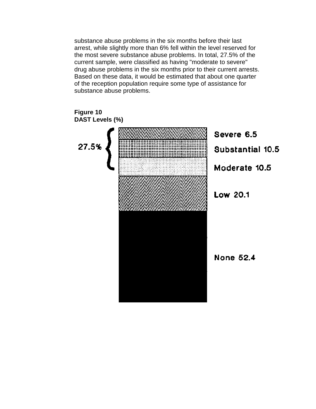substance abuse problems in the six months before their last arrest, while slightly more than 6% fell within the level reserved for the most severe substance abuse problems. In total, 27.5% of the current sample, were classified as having "moderate to severe" drug abuse problems in the six months prior to their current arrests. Based on these data, it would be estimated that about one quarter of the reception population require some type of assistance for substance abuse problems.

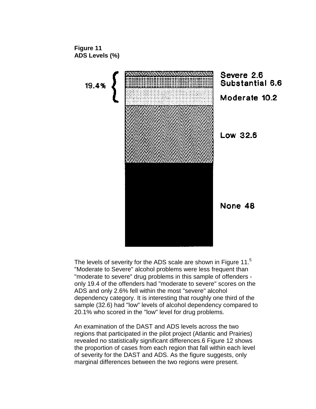

The levels of severity for the ADS scale are shown in Figure 11.<sup>5</sup> "Moderate to Severe" alcohol problems were less frequent than "moderate to severe" drug problems in this sample of offenders only 19.4 of the offenders had "moderate to severe" scores on the ADS and only 2.6% fell within the most "severe" alcohol dependency category. It is interesting that roughly one third of the sample (32.6) had "low" levels of alcohol dependency compared to 20.1% who scored in the "low" level for drug problems.

An examination of the DAST and ADS levels across the two regions that participated in the pilot project (Atlantic and Prairies) revealed no statistically significant differences.6 Figure 12 shows the proportion of cases from each region that fall within each level of severity for the DAST and ADS. As the figure suggests, only marginal differences between the two regions were present.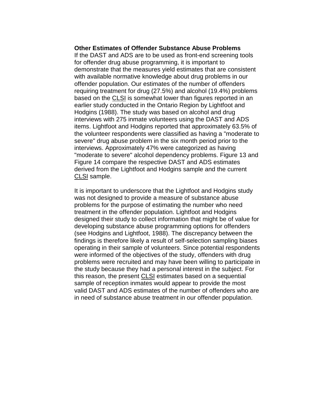#### **Other Estimates of Offender Substance Abuse Problems**

If the DAST and ADS are to be used as front-end screening tools for offender drug abuse programming, it is important to demonstrate that the measures yield estimates that are consistent with available normative knowledge about drug problems in our offender population. Our estimates of the number of offenders requiring treatment for drug (27.5%) and alcohol (19.4%) problems based on the CLSI is somewhat lower than figures reported in an earlier study conducted in the Ontario Region by Lightfoot and Hodgins (1988). The study was based on alcohol and drug interviews with 275 inmate volunteers using the DAST and ADS items. Lightfoot and Hodgins reported that approximately 63.5% of the volunteer respondents were classified as having a "moderate to severe" drug abuse problem in the six month period prior to the interviews. Approximately 47% were categorized as having "moderate to severe" alcohol dependency problems. Figure 13 and Figure 14 compare the respective DAST and ADS estimates derived from the Lightfoot and Hodgins sample and the current CLSI sample.

It is important to underscore that the Lightfoot and Hodgins study was not designed to provide a measure of substance abuse problems for the purpose of estimating the number who need treatment in the offender population. Lightfoot and Hodgins designed their study to collect information that might be of value for developing substance abuse programming options for offenders (see Hodgins and Lightfoot, 1988). The discrepancy between the findings is therefore likely a result of self-selection sampling biases operating in their sample of volunteers. Since potential respondents were informed of the objectives of the study, offenders with drug problems were recruited and may have been willing to participate in the study because they had a personal interest in the subject. For this reason, the present CLSI estimates based on a sequential sample of reception inmates would appear to provide the most valid DAST and ADS estimates of the number of offenders who are in need of substance abuse treatment in our offender population.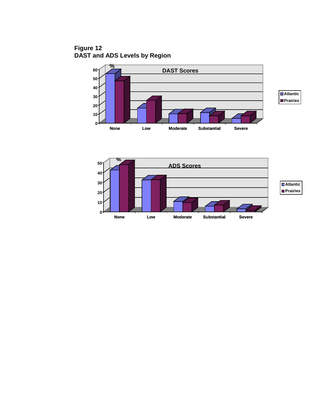**Figure 12 DAST and ADS Levels by Region**



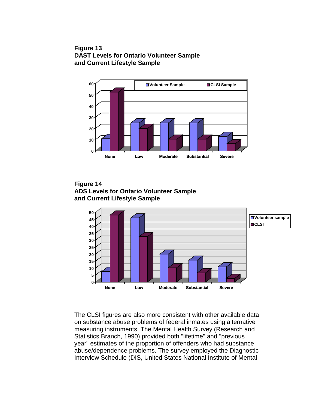## **Figure 13 DAST Levels for Ontario Volunteer Sample and Current Lifestyle Sample**



**Figure 14 ADS Levels for Ontario Volunteer Sample and Current Lifestyle Sample**



The CLSI figures are also more consistent with other available data on substance abuse problems of federal inmates using alternative measuring instruments. The Mental Health Survey (Research and Statistics Branch, 1990) provided both "lifetime" and "previous year" estimates of the proportion of offenders who had substance abuse/dependence problems. The survey employed the Diagnostic Interview Schedule (DIS, United States National Institute of Mental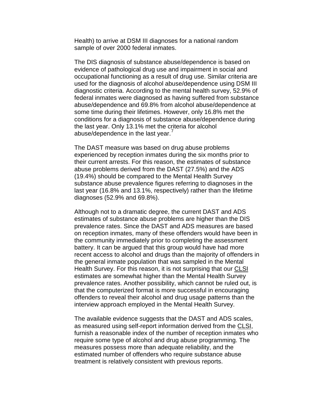Health) to arrive at DSM III diagnoses for a national random sample of over 2000 federal inmates.

The DIS diagnosis of substance abuse/dependence is based on evidence of pathological drug use and impairment in social and occupational functioning as a result of drug use. Similar criteria are used for the diagnosis of alcohol abuse/dependence using DSM III diagnostic criteria. According to the mental health survey, 52.9% of federal inmates were diagnosed as having suffered from substance abuse/dependence and 69.8% from alcohol abuse/dependence at some time during their lifetimes. However, only 16.8% met the conditions for a diagnosis of substance abuse/dependence during the last year. Only 13.1% met the criteria for alcohol abuse/dependence in the last year.

The DAST measure was based on drug abuse problems experienced by reception inmates during the six months prior to their current arrests. For this reason, the estimates of substance abuse problems derived from the DAST (27.5%) and the ADS (19.4%) should be compared to the Mental Health Survey substance abuse prevalence figures referring to diagnoses in the last year (16.8% and 13.1%, respectively) rather than the lifetime diagnoses (52.9% and 69.8%).

Although not to a dramatic degree, the current DAST and ADS estimates of substance abuse problems are higher than the DIS prevalence rates. Since the DAST and ADS measures are based on reception inmates, many of these offenders would have been in the community immediately prior to completing the assessment battery. It can be argued that this group would have had more recent access to alcohol and drugs than the majority of offenders in the general inmate population that was sampled in the Mental Health Survey. For this reason, it is not surprising that our CLSI estimates are somewhat higher than the Mental Health Survey prevalence rates. Another possibility, which cannot be ruled out, is that the computerized format is more successful in encouraging offenders to reveal their alcohol and drug usage patterns than the interview approach employed in the Mental Health Survey.

The available evidence suggests that the DAST and ADS scales, as measured using self-report information derived from the CLSI, furnish a reasonable index of the number of reception inmates who require some type of alcohol and drug abuse programming. The measures possess more than adequate reliability, and the estimated number of offenders who require substance abuse treatment is relatively consistent with previous reports.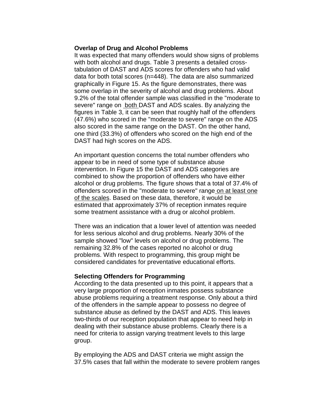#### **Overlap of Drug and Alcohol Problems**

It was expected that many offenders would show signs of problems with both alcohol and drugs. Table 3 presents a detailed crosstabulation of DAST and ADS scores for offenders who had valid data for both total scores (n=448). The data are also summarized graphically in Figure 15. As the figure demonstrates, there was some overlap in the severity of alcohol and drug problems. About 9.2% of the total offender sample was classified in the "moderate to severe" range on both DAST and ADS scales. By analyzing the figures in Table 3, it can be seen that roughly half of the offenders (47.6%) who scored in the "moderate to severe" range on the ADS also scored in the same range on the DAST. On the other hand, one third (33.3%) of offenders who scored on the high end of the DAST had high scores on the ADS.

An important question concerns the total number offenders who appear to be in need of some type of substance abuse intervention. In Figure 15 the DAST and ADS categories are combined to show the proportion of offenders who have either alcohol or drug problems. The figure shows that a total of 37.4% of offenders scored in the "moderate to severe" range on at least one of the scales. Based on these data, therefore, it would be estimated that approximately 37% of reception inmates require some treatment assistance with a drug or alcohol problem.

There was an indication that a lower level of attention was needed for less serious alcohol and drug problems. Nearly 30% of the sample showed "low" levels on alcohol or drug problems. The remaining 32.8% of the cases reported no alcohol or drug problems. With respect to programming, this group might be considered candidates for preventative educational efforts.

#### **Selecting Offenders for Programming**

According to the data presented up to this point, it appears that a very large proportion of reception inmates possess substance abuse problems requiring a treatment response. Only about a third of the offenders in the sample appear to possess no degree of substance abuse as defined by the DAST and ADS. This leaves two-thirds of our reception population that appear to need help in dealing with their substance abuse problems. Clearly there is a need for criteria to assign varying treatment levels to this large group.

By employing the ADS and DAST criteria we might assign the 37.5% cases that fall within the moderate to severe problem ranges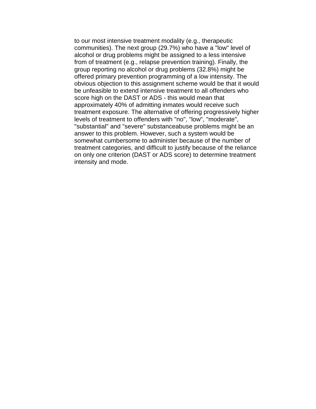to our most intensive treatment modality (e.g., therapeutic communities). The next group (29.7%) who have a "low" level of alcohol or drug problems might be assigned to a less intensive from of treatment (e.g., relapse prevention training). Finally, the group reporting no alcohol or drug problems (32.8%) might be offered primary prevention programming of a low intensity. The obvious objection to this assignment scheme would be that it would be unfeasible to extend intensive treatment to all offenders who score high on the DAST or ADS - this would mean that approximately 40% of admitting inmates would receive such treatment exposure. The alternative of offering progressively higher levels of treatment to offenders with "no", "low", "moderate", "substantial" and "severe" substanceabuse problems might be an answer to this problem. However, such a system would be somewhat cumbersome to administer because of the number of treatment categories, and difficult to justify because of the reliance on only one criterion (DAST or ADS score) to determine treatment intensity and mode.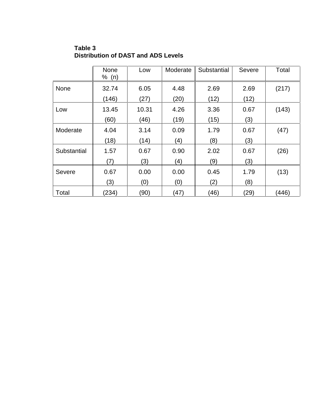|             | None<br>% (n) | Low   | Moderate | Substantial | Severe | Total |
|-------------|---------------|-------|----------|-------------|--------|-------|
| None        | 32.74         | 6.05  | 4.48     | 2.69        | 2.69   | (217) |
|             | (146)         | (27)  | (20)     | (12)        | (12)   |       |
| Low         | 13.45         | 10.31 | 4.26     | 3.36        | 0.67   | (143) |
|             | (60)          | (46)  | (19)     | (15)        | (3)    |       |
| Moderate    | 4.04          | 3.14  | 0.09     | 1.79        | 0.67   | (47)  |
|             | (18)          | (14)  | (4)      | (8)         | (3)    |       |
| Substantial | 1.57          | 0.67  | 0.90     | 2.02        | 0.67   | (26)  |
|             | (7)           | (3)   | (4)      | (9)         | (3)    |       |
| Severe      | 0.67          | 0.00  | 0.00     | 0.45        | 1.79   | (13)  |
|             | (3)           | (0)   | (0)      | (2)         | (8)    |       |
| Total       | (234)         | (90)  | (47)     | (46)        | (29)   | (446) |

**Table 3 Distribution of DAST and ADS Levels**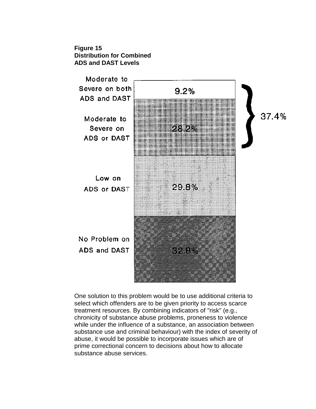



One solution to this problem would be to use additional criteria to select which offenders are to be given priority to access scarce treatment resources. By combining indicators of "risk" (e.g., chronicity of substance abuse problems, proneness to violence while under the influence of a substance, an association between substance use and criminal behaviour) with the index of severity of abuse, it would be possible to incorporate issues which are of prime correctional concern to decisions about how to allocate substance abuse services.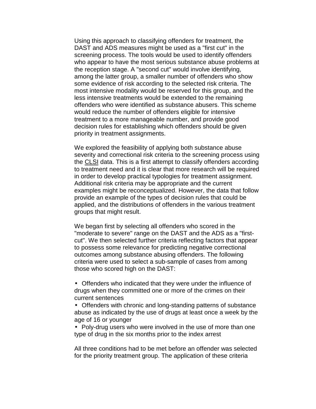Using this approach to classifying offenders for treatment, the DAST and ADS measures might be used as a "first cut" in the screening process. The tools would be used to identify offenders who appear to have the most serious substance abuse problems at the reception stage. A "second cut" would involve identifying, among the latter group, a smaller number of offenders who show some evidence of risk according to the selected risk criteria. The most intensive modality would be reserved for this group, and the less intensive treatments would be extended to the remaining offenders who were identified as substance abusers. This scheme would reduce the number of offenders eligible for intensive treatment to a more manageable number, and provide good decision rules for establishing which offenders should be given priority in treatment assignments.

We explored the feasibility of applying both substance abuse severity and correctional risk criteria to the screening process using the CLSI data. This is a first attempt to classify offenders according to treatment need and it is clear that more research will be required in order to develop practical typologies for treatment assignment. Additional risk criteria may be appropriate and the current examples might be reconceptualized. However, the data that follow provide an example of the types of decision rules that could be applied, and the distributions of offenders in the various treatment groups that might result.

We began first by selecting all offenders who scored in the "moderate to severe" range on the DAST and the ADS as a "firstcut". We then selected further criteria reflecting factors that appear to possess some relevance for predicting negative correctional outcomes among substance abusing offenders. The following criteria were used to select a sub-sample of cases from among those who scored high on the DAST:

• Offenders who indicated that they were under the influence of drugs when they committed one or more of the crimes on their current sentences

• Offenders with chronic and long-standing patterns of substance abuse as indicated by the use of drugs at least once a week by the age of 16 or younger

• Poly-drug users who were involved in the use of more than one type of drug in the six months prior to the index arrest

All three conditions had to be met before an offender was selected for the priority treatment group. The application of these criteria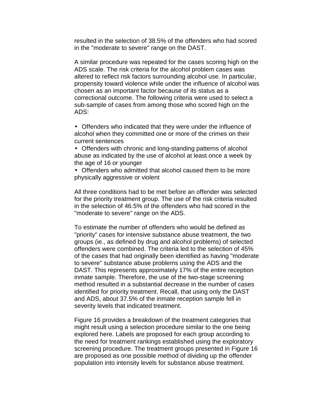resulted in the selection of 38.5% of the offenders who had scored in the "moderate to severe" range on the DAST.

A similar procedure was repeated for the cases scoring high on the ADS scale. The risk criteria for the alcohol problem cases was altered to reflect risk factors surrounding alcohol use. In particular, propensity toward violence while under the influence of alcohol was chosen as an important factor because of its status as a correctional outcome. The following criteria were used to select a sub-sample of cases from among those who scored high on the ADS:

• Offenders who indicated that they were under the influence of alcohol when they committed one or more of the crimes on their current sentences

• Offenders with chronic and long-standing patterns of alcohol abuse as indicated by the use of alcohol at least once a week by the age of 16 or younger

• Offenders who admitted that alcohol caused them to be more physically aggressive or violent

All three conditions had to be met before an offender was selected for the priority treatment group. The use of the risk criteria resulted in the selection of 46.5% of the offenders who had scored in the "moderate to severe" range on the ADS.

To estimate the number of offenders who would be defined as "priority" cases for intensive substance abuse treatment, the two groups (ie., as defined by drug and alcohol problems) of selected offenders were combined. The criteria led to the selection of 45% of the cases that had originally been identified as having "moderate to severe" substance abuse problems using the ADS and the DAST. This represents approximately 17% of the entire reception inmate sample. Therefore, the use of the two-stage screening method resulted in a substantial decrease in the number of cases identified for priority treatment. Recall, that using only the DAST and ADS, about 37.5% of the inmate reception sample fell in severity levels that indicated treatment.

Figure 16 provides a breakdown of the treatment categories that might result using a selection procedure similar to the one being explored here. Labels are proposed for each group according to the need for treatment rankings established using the exploratory screening procedure. The treatment groups presented in Figure 16 are proposed as one possible method of dividing up the offender population into intensity levels for substance abuse treatment.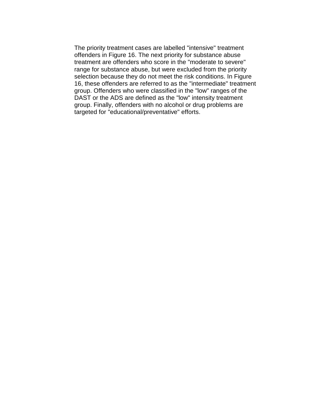The priority treatment cases are labelled "intensive" treatment offenders in Figure 16. The next priority for substance abuse treatment are offenders who score in the "moderate to severe" range for substance abuse, but were excluded from the priority selection because they do not meet the risk conditions. In Figure 16, these offenders are referred to as the "intermediate" treatment group. Offenders who were classified in the "low" ranges of the DAST or the ADS are defined as the "low" intensity treatment group. Finally, offenders with no alcohol or drug problems are targeted for "educational/preventative" efforts.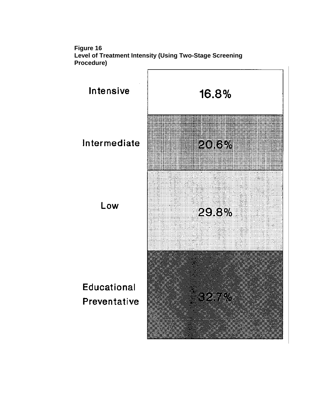

**Figure 16 Level of Treatment Intensity (Using Two-Stage Screening Procedure)**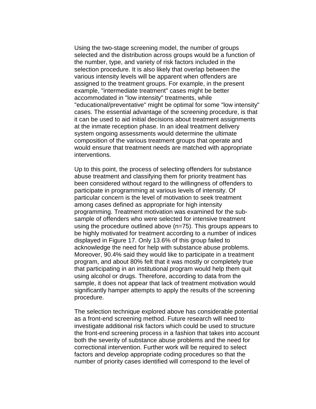Using the two-stage screening model, the number of groups selected and the distribution across groups would be a function of the number, type, and variety of risk factors included in the selection procedure. It is also likely that overlap between the various intensity levels will be apparent when offenders are assigned to the treatment groups. For example, in the present example, "intermediate treatment" cases might be better accommodated in "low intensity" treatments, while "educational/preventative" might be optimal for some "low intensity" cases. The essential advantage of the screening procedure, is that it can be used to aid initial decisions about treatment assignments at the inmate reception phase. In an ideal treatment delivery system ongoing assessments would determine the ultimate composition of the various treatment groups that operate and would ensure that treatment needs are matched with appropriate interventions.

Up to this point, the process of selecting offenders for substance abuse treatment and classifying them for priority treatment has been considered without regard to the willingness of offenders to participate in programming at various levels of intensity. Of particular concern is the level of motivation to seek treatment among cases defined as appropriate for high intensity programming. Treatment motivation was examined for the subsample of offenders who were selected for intensive treatment using the procedure outlined above (n=75). This groups appears to be highly motivated for treatment according to a number of indices displayed in Figure 17. Only 13.6% of this group failed to acknowledge the need for help with substance abuse problems. Moreover, 90.4% said they would like to participate in a treatment program, and about 80% felt that it was mostly or completely true that participating in an institutional program would help them quit using alcohol or drugs. Therefore, according to data from the sample, it does not appear that lack of treatment motivation would significantly hamper attempts to apply the results of the screening procedure.

The selection technique explored above has considerable potential as a front-end screening method. Future research will need to investigate additional risk factors which could be used to structure the front-end screening process in a fashion that takes into account both the severity of substance abuse problems and the need for correctional intervention. Further work will be required to select factors and develop appropriate coding procedures so that the number of priority cases identified will correspond to the level of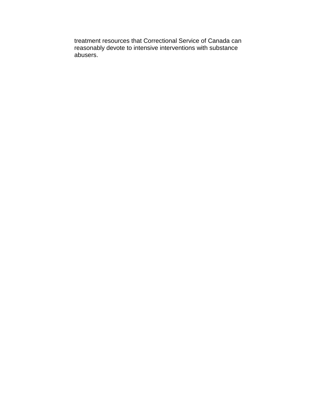treatment resources that Correctional Service of Canada can reasonably devote to intensive interventions with substance abusers.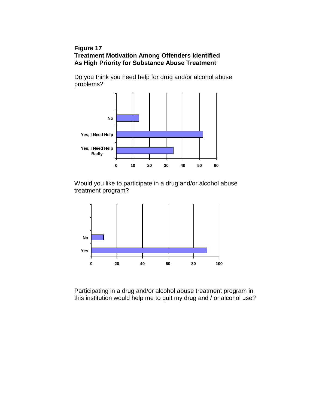## **Figure 17 Treatment Motivation Among Offenders Identified As High Priority for Substance Abuse Treatment**

Do you think you need help for drug and/or alcohol abuse problems?



Would you like to participate in a drug and/or alcohol abuse treatment program?



Participating in a drug and/or alcohol abuse treatment program in this institution would help me to quit my drug and / or alcohol use?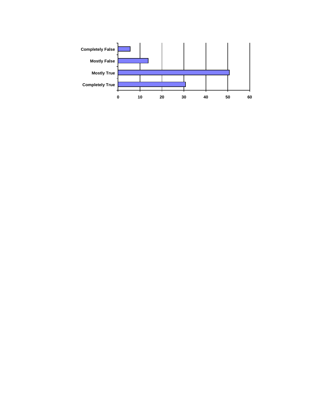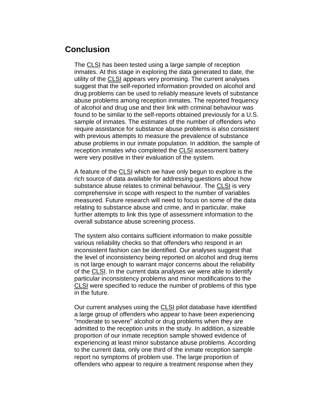# **Conclusion**

The CLSI has been tested using a large sample of reception inmates. At this stage in exploring the data generated to date, the utility of the CLSI appears very promising. The current analyses suggest that the self-reported information provided on alcohol and drug problems can be used to reliably measure levels of substance abuse problems among reception inmates. The reported frequency of alcohol and drug use and their link with criminal behaviour was found to be similar to the self-reports obtained previously for a U.S. sample of inmates. The estimates of the number of offenders who require assistance for substance abuse problems is also consistent with previous attempts to measure the prevalence of substance abuse problems in our inmate population. In addition, the sample of reception inmates who completed the CLSI assessment battery were very positive in their evaluation of the system.

A feature of the CLSI which we have only begun to explore is the rich source of data available for addressing questions about how substance abuse relates to criminal behaviour. The CLSI is very comprehensive in scope with respect to the number of variables measured. Future research will need to focus on some of the data relating to substance abuse and crime, and in particular, make further attempts to link this type of assessment information to the overall substance abuse screening process.

The system also contains sufficient information to make possible various reliability checks so that offenders who respond in an inconsistent fashion can be identified. Our analyses suggest that the level of inconsistency being reported on alcohol and drug items is not large enough to warrant major concerns about the reliability of the CLSI. In the current data analyses we were able to identify particular inconsistency problems and minor modifications to the CLSI were specified to reduce the number of problems of this type in the future.

Our current analyses using the CLSI pilot database have identified a large group of offenders who appear to have been experiencing "moderate to severe" alcohol or drug problems when they are admitted to the reception units in the study. In addition, a sizeable proportion of our inmate reception sample showed evidence of experiencing at least minor substance abuse problems. According to the current data, only one third of the inmate reception sample report no symptoms of problem use. The large proportion of offenders who appear to require a treatment response when they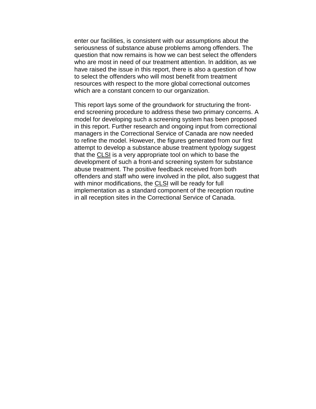enter our facilities, is consistent with our assumptions about the seriousness of substance abuse problems among offenders. The question that now remains is how we can best select the offenders who are most in need of our treatment attention. In addition, as we have raised the issue in this report, there is also a question of how to select the offenders who will most benefit from treatment resources with respect to the more global correctional outcomes which are a constant concern to our organization.

This report lays some of the groundwork for structuring the frontend screening procedure to address these two primary concerns. A model for developing such a screening system has been proposed in this report. Further research and ongoing input from correctional managers in the Correctional Service of Canada are now needed to refine the model. However, the figures generated from our first attempt to develop a substance abuse treatment typology suggest that the CLSI is a very appropriate tool on which to base the development of such a front-and screening system for substance abuse treatment. The positive feedback received from both offenders and staff who were involved in the pilot, also suggest that with minor modifications, the CLSI will be ready for full implementation as a standard component of the reception routine in all reception sites in the Correctional Service of Canada.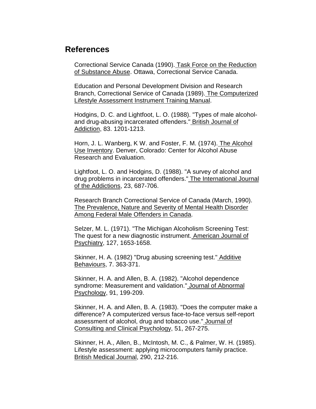# **References**

Correctional Service Canada (1990). Task Force on the Reduction of Substance Abuse. Ottawa, Correctional Service Canada.

Education and Personal Development Division and Research Branch, Correctional Service of Canada (1989). The Computerized Lifestyle Assessment Instrument Training Manual.

Hodgins, D. C. and Lightfoot, L. O. (1988). "Types of male alcoholand drug-abusing incarcerated offenders." British Journal of Addiction, 83. 1201-1213.

Horn, J. L. Wanberg, K W. and Foster, F. M. (1974). The Alcohol Use Inventory. Denver, Colorado: Center for Alcohol Abuse Research and Evaluation.

Lightfoot, L. O. and Hodgins, D. (1988). "A survey of alcohol and drug problems in incarcerated offenders." The International Journal of the Addictions, 23, 687-706.

Research Branch Correctional Service of Canada (March, 1990). The Prevalence, Nature and Severity of Mental Health Disorder Among Federal Male Offenders in Canada.

Selzer, M. L. (1971). "The Michigan Alcoholism Screening Test: The quest for a new diagnostic instrument. American Journal of Psychiatry, 127, 1653-1658.

Skinner, H. A. (1982) "Drug abusing screening test." Additive Behaviours, 7. 363-371.

Skinner, H. A. and Allen, B. A. (1982). "Alcohol dependence syndrome: Measurement and validation." Journal of Abnormal Psychology, 91, 199-209.

Skinner, H. A. and Allen, B. A. (1983). "Does the computer make a difference? A computerized versus face-to-face versus self-report assessment of alcohol, drug and tobacco use." Journal of Consulting and Clinical Psychology, 51, 267-275.

Skinner, H. A., Allen, B., McIntosh, M. C., & Palmer, W. H. (1985). Lifestyle assessment: applying microcomputers family practice. British Medical Journal, 290, 212-216.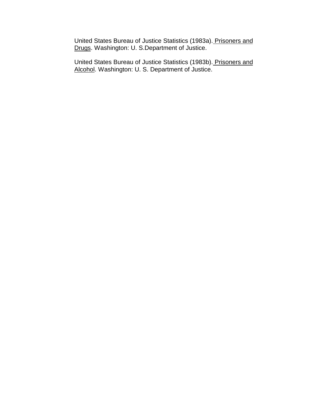United States Bureau of Justice Statistics (1983a). Prisoners and Drugs. Washington: U. S.Department of Justice.

United States Bureau of Justice Statistics (1983b). Prisoners and Alcohol. Washington: U. S. Department of Justice.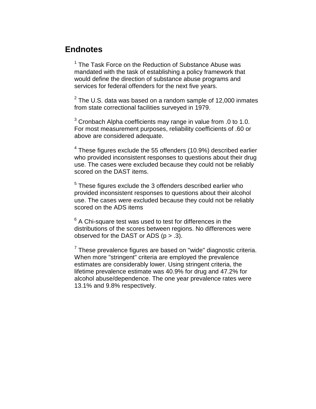# **Endnotes**

<sup>1</sup> The Task Force on the Reduction of Substance Abuse was mandated with the task of establishing a policy framework that would define the direction of substance abuse programs and services for federal offenders for the next five years.

 $^{2}$  The U.S. data was based on a random sample of 12,000 inmates from state correctional facilities surveyed in 1979.

 $3$  Cronbach Alpha coefficients may range in value from .0 to 1.0. For most measurement purposes, reliability coefficients of .60 or above are considered adequate.

 $^4$  These figures exclude the 55 offenders (10.9%) described earlier who provided inconsistent responses to questions about their drug use. The cases were excluded because they could not be reliably scored on the DAST items.

 $^5$  These figures exclude the 3 offenders described earlier who provided inconsistent responses to questions about their alcohol use. The cases were excluded because they could not be reliably scored on the ADS items

 $^6$  A Chi-square test was used to test for differences in the distributions of the scores between regions. No differences were observed for the DAST or ADS  $(p > .3)$ .

 $7$  These prevalence figures are based on "wide" diagnostic criteria. When more "stringent" criteria are employed the prevalence estimates are considerably lower. Using stringent criteria, the lifetime prevalence estimate was 40.9% for drug and 47.2% for alcohol abuse/dependence. The one year prevalence rates were 13.1% and 9.8% respectively.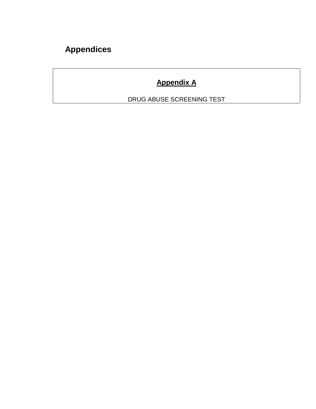# **Appendices**

# **Appendix A**

DRUG ABUSE SCREENING TEST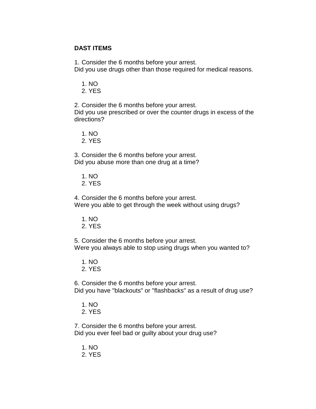## **DAST ITEMS**

1. Consider the 6 months before your arrest.

Did you use drugs other than those required for medical reasons.

1. NO

2. YES

2. Consider the 6 months before your arrest. Did you use prescribed or over the counter drugs in excess of the directions?

1. NO

2. YES

3. Consider the 6 months before your arrest. Did you abuse more than one drug at a time?

- 1. NO
- 2. YES

4. Consider the 6 months before your arrest. Were you able to get through the week without using drugs?

- 1. NO
- 2. YES

5. Consider the 6 months before your arrest. Were you always able to stop using drugs when you wanted to?

- 1. NO
- 2. YES

6. Consider the 6 months before your arrest. Did you have "blackouts" or "flashbacks" as a result of drug use?

- 1. NO
- 2. YES

7. Consider the 6 months before your arrest. Did you ever feel bad or guilty about your drug use?

- 1. NO
- 2. YES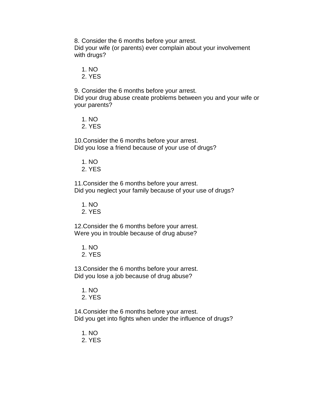8. Consider the 6 months before your arrest.

Did your wife (or parents) ever complain about your involvement with drugs?

1. NO

2. YES

9. Consider the 6 months before your arrest.

Did your drug abuse create problems between you and your wife or your parents?

1. NO

2. YES

10. Consider the 6 months before your arrest. Did you lose a friend because of your use of drugs?

- 1. NO
- 2. YES

11. Consider the 6 months before your arrest. Did you neglect your family because of your use of drugs?

1. NO

2. YES

12. Consider the 6 months before your arrest. Were you in trouble because of drug abuse?

- 1. NO
- 2. YES

13. Consider the 6 months before your arrest. Did you lose a job because of drug abuse?

1. NO

2. YES

14. Consider the 6 months before your arrest. Did you get into fights when under the influence of drugs?

- 1. NO
- 2. YES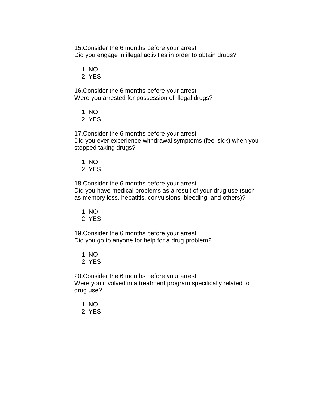15. Consider the 6 months before your arrest. Did you engage in illegal activities in order to obtain drugs?

1. NO

2. YES

16. Consider the 6 months before your arrest. Were you arrested for possession of illegal drugs?

- 1. NO
- 2. YES

17. Consider the 6 months before your arrest. Did you ever experience withdrawal symptoms (feel sick) when you stopped taking drugs?

1. NO

2. YES

18. Consider the 6 months before your arrest.

Did you have medical problems as a result of your drug use (such as memory loss, hepatitis, convulsions, bleeding, and others)?

- 1. NO
- 2. YES

19. Consider the 6 months before your arrest. Did you go to anyone for help for a drug problem?

- 1. NO
- 2. YES

20. Consider the 6 months before your arrest.

Were you involved in a treatment program specifically related to drug use?

- 1. NO
- 2. YES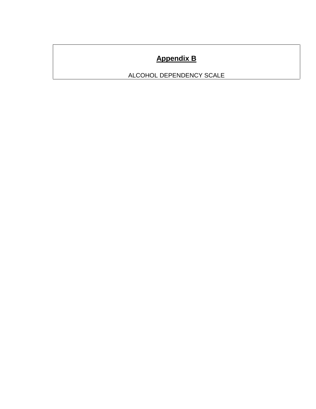# **Appendix B**

ALCOHOL DEPENDENCY SCALE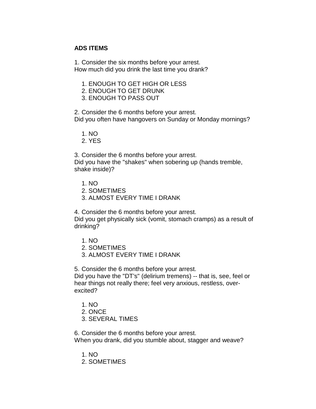## **ADS ITEMS**

1. Consider the six months before your arrest. How much did you drink the last time you drank?

- 1. ENOUGH TO GET HIGH OR LESS
- 2. ENOUGH TO GET DRUNK
- 3. ENOUGH TO PASS OUT

2. Consider the 6 months before your arrest. Did you often have hangovers on Sunday or Monday mornings?

1. NO

2. YES

3. Consider the 6 months before your arrest. Did you have the "shakes" when sobering up (hands tremble, shake inside)?

- 1. NO
- 2. SOMETIMES
- 3. ALMOST EVERY TIME I DRANK

4. Consider the 6 months before your arrest. Did you get physically sick (vomit, stomach cramps) as a result of drinking?

- 1. NO
- 2. SOMETIMES
- 3. ALMOST EVERY TIME I DRANK

5. Consider the 6 months before your arrest.

Did you have the "DT's" (delirium tremens) -- that is, see, feel or hear things not really there; feel very anxious, restless, overexcited?

- 1. NO
- 2. ONCE
- 3. SEVERAL TIMES

6. Consider the 6 months before your arrest. When you drank, did you stumble about, stagger and weave?

- 1. NO
- 2. SOMETIMES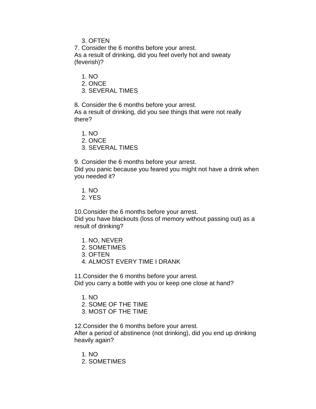3. OFTEN

7. Consider the 6 months before your arrest. As a result of drinking, did you feel overly hot and sweaty (feverish)?

1. NO

2. ONCE

3. SEVERAL TIMES

8. Consider the 6 months before your arrest. As a result of drinking, did you see things that were not really there?

1. NO

2. ONCE

3. SEVERAL TIMES

9. Consider the 6 months before your arrest.

Did you panic because you feared you might not have a drink when you needed it?

1. NO

2. YES

10. Consider the 6 months before your arrest.

Did you have blackouts (loss of memory without passing out) as a result of drinking?

- 1. NO, NEVER
- 2. SOMETIMES
- 3. OFTEN
- 4. ALMOST EVERY TIME I DRANK

11. Consider the 6 months before your arrest.

Did you carry a bottle with you or keep one close at hand?

- 1. NO
- 2. SOME OF THE TIME
- 3. MOST OF THE TIME

12. Consider the 6 months before your arrest.

After a period of abstinence (not drinking), did you end up drinking heavily again?

- 1. NO
- 2. SOMETIMES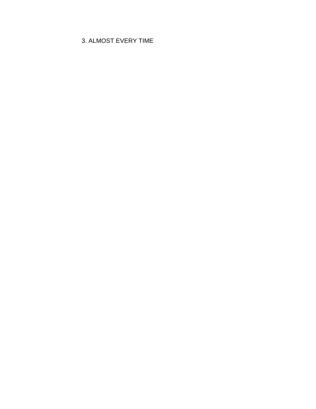# 3. ALMOST EVERY TIME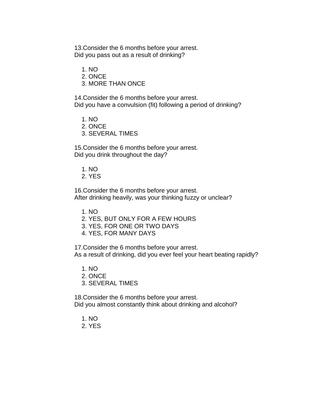13. Consider the 6 months before your arrest. Did you pass out as a result of drinking?

1. NO

2. ONCE

3. MORE THAN ONCE

14. Consider the 6 months before your arrest. Did you have a convulsion (fit) following a period of drinking?

- 1. NO
- 2. ONCE
- 3. SEVERAL TIMES

15. Consider the 6 months before your arrest. Did you drink throughout the day?

- 1. NO
- 2. YES

16. Consider the 6 months before your arrest. After drinking heavily, was your thinking fuzzy or unclear?

- 1. NO
- 2. YES, BUT ONLY FOR A FEW HOURS
- 3. YES, FOR ONE OR TWO DAYS
- 4. YES, FOR MANY DAYS

17. Consider the 6 months before your arrest. As a result of drinking, did you ever feel your heart beating rapidly?

- 1. NO
- 2. ONCE
- 3. SEVERAL TIMES

18. Consider the 6 months before your arrest. Did you almost constantly think about drinking and alcohol?

- 1. NO
- 2. YES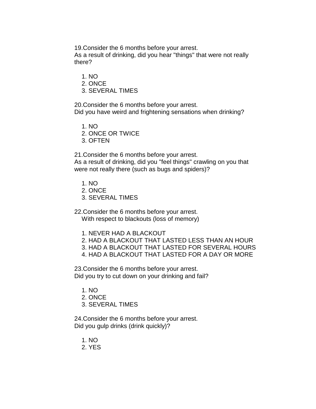19. Consider the 6 months before your arrest.

As a result of drinking, did you hear "things" that were not really there?

- 1. NO
- 2. ONCE
- 3. SEVERAL TIMES

20. Consider the 6 months before your arrest. Did you have weird and frightening sensations when drinking?

- 1. NO
- 2. ONCE OR TWICE
- 3. OFTEN

21. Consider the 6 months before your arrest.

As a result of drinking, did you "feel things" crawling on you that were not really there (such as bugs and spiders)?

- 1. NO
- 2. ONCE
- 3. SEVERAL TIMES
- 22. Consider the 6 months before your arrest. With respect to blackouts (loss of memory)
	- 1. NEVER HAD A BLACKOUT
	- 2. HAD A BLACKOUT THAT LASTED LESS THAN AN HOUR
	- 3. HAD A BLACKOUT THAT LASTED FOR SEVERAL HOURS
	- 4. HAD A BLACKOUT THAT LASTED FOR A DAY OR MORE

23. Consider the 6 months before your arrest. Did you try to cut down on your drinking and fail?

- 1. NO
- 2. ONCE
- 3. SEVERAL TIMES

24. Consider the 6 months before your arrest. Did you gulp drinks (drink quickly)?

- 1. NO
- 2. YES